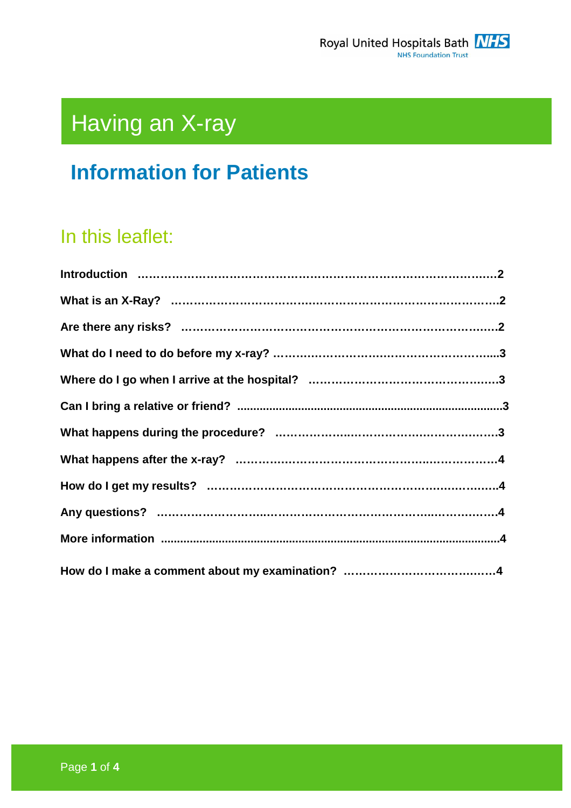

# Having an X-ray

# **Information for Patients**

# In this leaflet: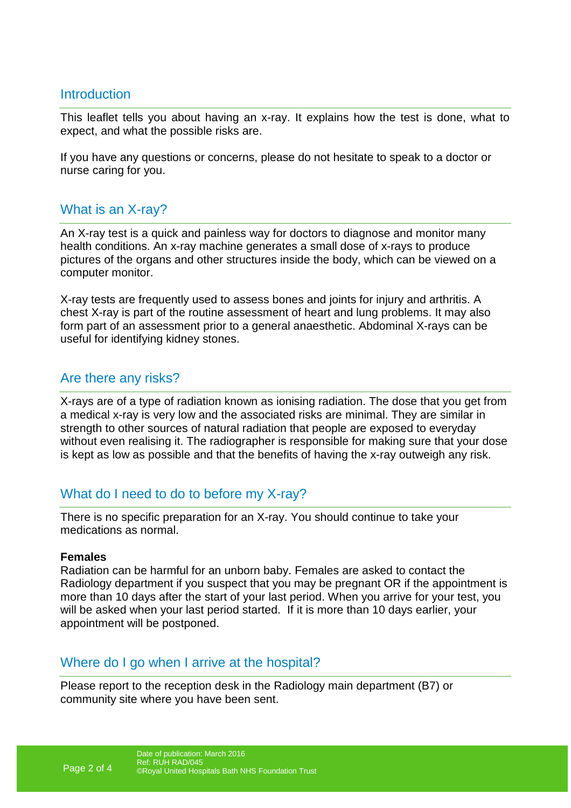#### **Introduction**

This leaflet tells you about having an x-ray. It explains how the test is done, what to expect, and what the possible risks are.

If you have any questions or concerns, please do not hesitate to speak to a doctor or nurse caring for you.

# What is an X-ray?

An X-ray test is a quick and painless way for doctors to diagnose and monitor many health conditions. An x-ray machine generates a small dose of x-rays to produce pictures of the organs and other structures inside the body, which can be viewed on a computer monitor.

X-ray tests are frequently used to assess bones and joints for injury and arthritis. A chest X-ray is part of the routine assessment of heart and lung problems. It may also form part of an assessment prior to a general anaesthetic. Abdominal X-rays can be useful for identifying kidney stones.

#### Are there any risks?

X-rays are of a type of radiation known as ionising radiation. The dose that you get from a medical x-ray is very low and the associated risks are minimal. They are similar in strength to other sources of natural radiation that people are exposed to everyday without even realising it. The radiographer is responsible for making sure that your dose is kept as low as possible and that the benefits of having the x-ray outweigh any risk.

# What do I need to do to before my X-ray?

There is no specific preparation for an X-ray. You should continue to take your medications as normal.

#### **Females**

Radiation can be harmful for an unborn baby. Females are asked to contact the Radiology department if you suspect that you may be pregnant OR if the appointment is more than 10 days after the start of your last period. When you arrive for your test, you will be asked when your last period started. If it is more than 10 days earlier, your appointment will be postponed.

#### Where do I go when I arrive at the hospital?

Please report to the reception desk in the Radiology main department (B7) or community site where you have been sent.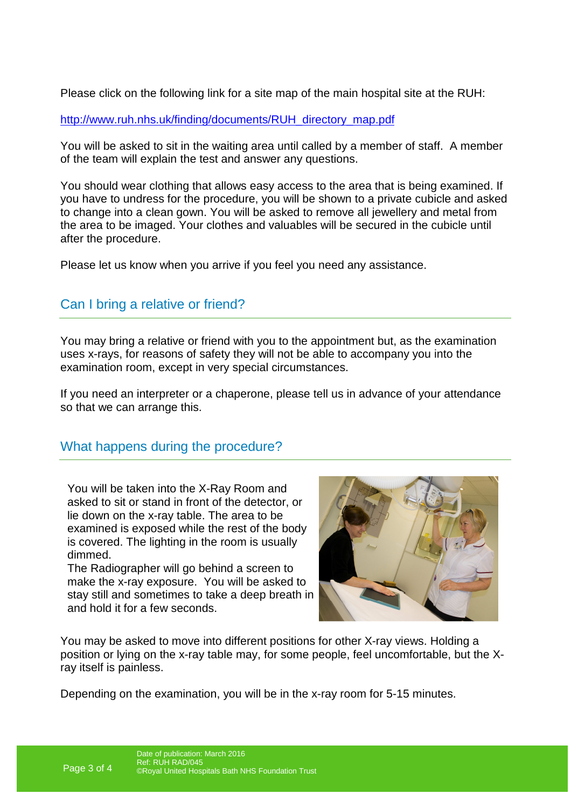Please click on the following link for a site map of the main hospital site at the RUH:

http://www.ruh.nhs.uk/finding/documents/RUH\_directory\_map.pdf

You will be asked to sit in the waiting area until called by a member of staff. A member of the team will explain the test and answer any questions.

You should wear clothing that allows easy access to the area that is being examined. If you have to undress for the procedure, you will be shown to a private cubicle and asked to change into a clean gown. You will be asked to remove all jewellery and metal from the area to be imaged. Your clothes and valuables will be secured in the cubicle until after the procedure.

Please let us know when you arrive if you feel you need any assistance.

# Can I bring a relative or friend?

You may bring a relative or friend with you to the appointment but, as the examination uses x-rays, for reasons of safety they will not be able to accompany you into the examination room, except in very special circumstances.

If you need an interpreter or a chaperone, please tell us in advance of your attendance so that we can arrange this.

# What happens during the procedure?

You will be taken into the X-Ray Room and asked to sit or stand in front of the detector, or lie down on the x-ray table. The area to be examined is exposed while the rest of the body is covered. The lighting in the room is usually dimmed.

The Radiographer will go behind a screen to make the x-ray exposure. You will be asked to stay still and sometimes to take a deep breath in and hold it for a few seconds.



You may be asked to move into different positions for other X-ray views. Holding a position or lying on the x-ray table may, for some people, feel uncomfortable, but the Xray itself is painless.

Depending on the examination, you will be in the x-ray room for 5-15 minutes.